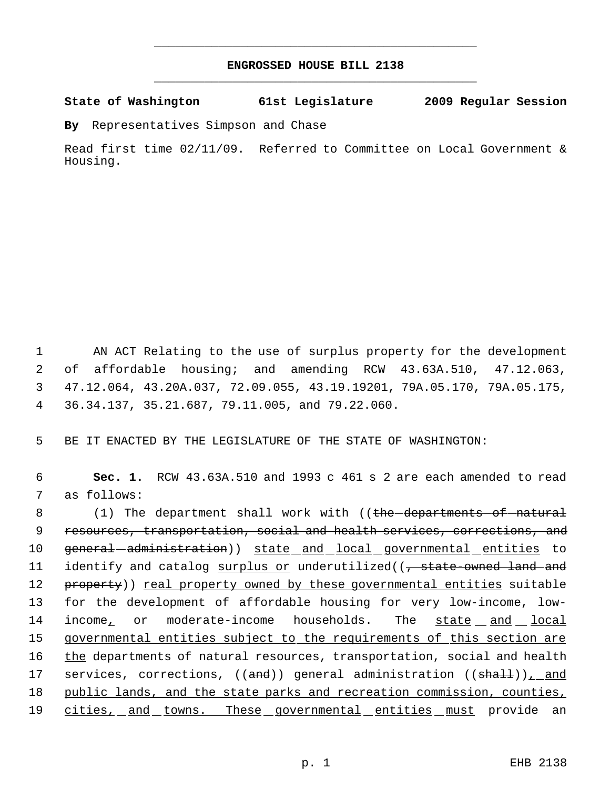## **ENGROSSED HOUSE BILL 2138** \_\_\_\_\_\_\_\_\_\_\_\_\_\_\_\_\_\_\_\_\_\_\_\_\_\_\_\_\_\_\_\_\_\_\_\_\_\_\_\_\_\_\_\_\_

\_\_\_\_\_\_\_\_\_\_\_\_\_\_\_\_\_\_\_\_\_\_\_\_\_\_\_\_\_\_\_\_\_\_\_\_\_\_\_\_\_\_\_\_\_

**State of Washington 61st Legislature 2009 Regular Session**

**By** Representatives Simpson and Chase

Read first time 02/11/09. Referred to Committee on Local Government & Housing.

 AN ACT Relating to the use of surplus property for the development of affordable housing; and amending RCW 43.63A.510, 47.12.063, 47.12.064, 43.20A.037, 72.09.055, 43.19.19201, 79A.05.170, 79A.05.175, 36.34.137, 35.21.687, 79.11.005, and 79.22.060.

5 BE IT ENACTED BY THE LEGISLATURE OF THE STATE OF WASHINGTON:

 6 **Sec. 1.** RCW 43.63A.510 and 1993 c 461 s 2 are each amended to read 7 as follows:

8 (1) The department shall work with ((the departments of natural 9 resources, transportation, social and health services, corrections, and 10 general administration)) state and local governmental entities to 11 identify and catalog surplus or underutilized((, state-owned land and 12 property)) real property owned by these governmental entities suitable 13 for the development of affordable housing for very low-income, low-14 income, or moderate-income households. The state and local 15 governmental entities subject to the requirements of this section are 16 the departments of natural resources, transportation, social and health 17 services, corrections, ((and)) general administration ((shall)), and 18 public lands, and the state parks and recreation commission, counties, 19 cities, and towns. These governmental entities must provide an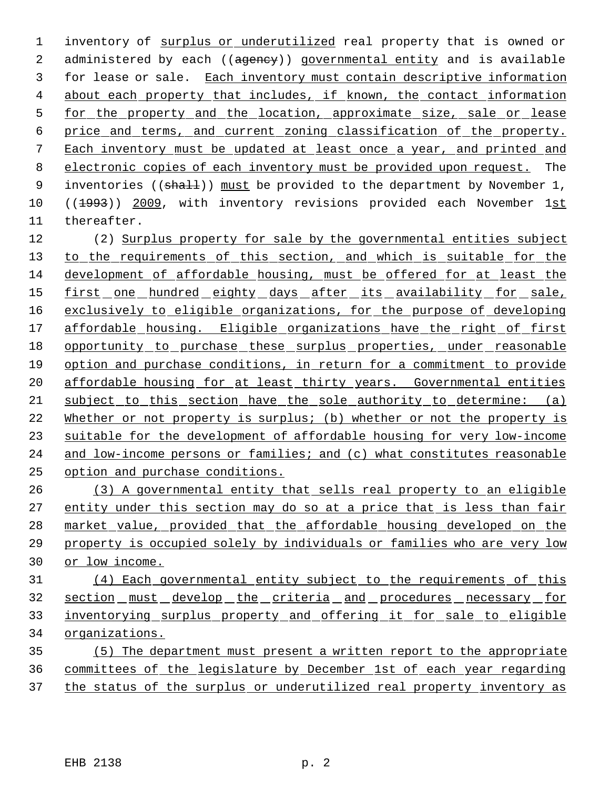inventory of surplus or underutilized real property that is owned or 2 administered by each ((agency)) governmental entity and is available for lease or sale. Each inventory must contain descriptive information 4 about each property that includes, if known, the contact information 5 for the property and the location, approximate size, sale or lease price and terms, and current zoning classification of the property. Each inventory must be updated at least once a year, and printed and electronic copies of each inventory must be provided upon request. The 9 inventories (( $\frac{shath}{)}$ ) must be provided to the department by November 1, 10 ((1993)) 2009, with inventory revisions provided each November 1st thereafter.

 (2) Surplus property for sale by the governmental entities subject 13 to the requirements of this section, and which is suitable for the development of affordable housing, must be offered for at least the 15 first one hundred eighty days after its availability for sale, exclusively to eligible organizations, for the purpose of developing 17 affordable housing. Eligible organizations have the right of first 18 opportunity to purchase these surplus properties, under reasonable option and purchase conditions, in return for a commitment to provide 20 affordable housing for at least thirty years. Governmental entities subject to this section have the sole authority to determine: (a) Whether or not property is surplus; (b) whether or not the property is suitable for the development of affordable housing for very low-income and low-income persons or families; and (c) what constitutes reasonable option and purchase conditions.

 (3) A governmental entity that sells real property to an eligible entity under this section may do so at a price that is less than fair market value, provided that the affordable housing developed on the property is occupied solely by individuals or families who are very low or low income.

 (4) Each governmental entity subject to the requirements of this section must develop the criteria and procedures necessary for inventorying surplus property and offering it for sale to eligible organizations.

 (5) The department must present a written report to the appropriate committees of the legislature by December 1st of each year regarding 37 the status of the surplus or underutilized real property inventory as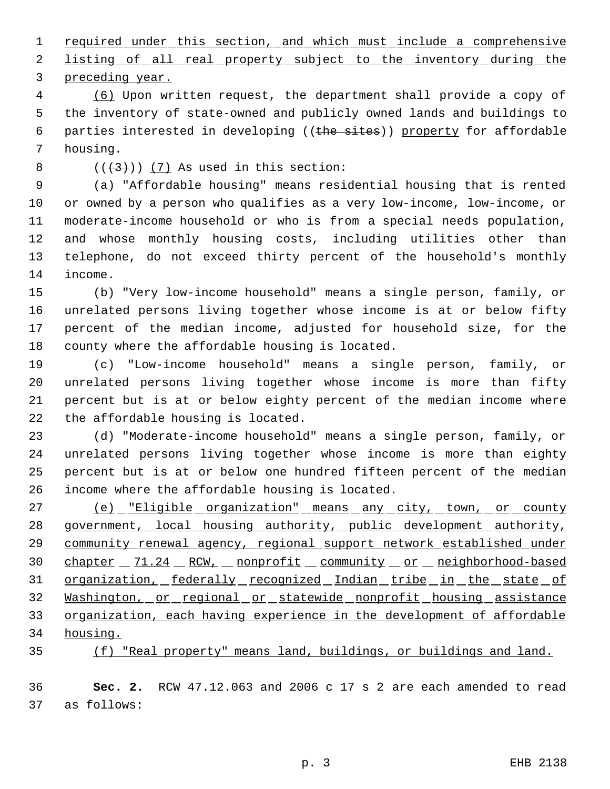1 required under this section, and which must include a comprehensive

2 listing of all real property subject to the inventory during the preceding year.

 (6) Upon written request, the department shall provide a copy of the inventory of state-owned and publicly owned lands and buildings to 6 parties interested in developing ((the sites)) property for affordable housing.

 $((+3))$   $(7)$  As used in this section:

 (a) "Affordable housing" means residential housing that is rented or owned by a person who qualifies as a very low-income, low-income, or moderate-income household or who is from a special needs population, and whose monthly housing costs, including utilities other than telephone, do not exceed thirty percent of the household's monthly income.

 (b) "Very low-income household" means a single person, family, or unrelated persons living together whose income is at or below fifty percent of the median income, adjusted for household size, for the county where the affordable housing is located.

 (c) "Low-income household" means a single person, family, or unrelated persons living together whose income is more than fifty percent but is at or below eighty percent of the median income where the affordable housing is located.

 (d) "Moderate-income household" means a single person, family, or unrelated persons living together whose income is more than eighty percent but is at or below one hundred fifteen percent of the median income where the affordable housing is located.

27 (e) "Eligible organization" means any city, town, or county 28 government, local housing authority, public development authority, community renewal agency, regional support network established under 30 chapter 11.24 RCW, nonprofit community or neighborhood-based 31 organization, federally recognized Indian tribe in the state of 32 Washington, or regional or statewide nonprofit housing assistance organization, each having experience in the development of affordable housing.

(f) "Real property" means land, buildings, or buildings and land.

 **Sec. 2.** RCW 47.12.063 and 2006 c 17 s 2 are each amended to read as follows: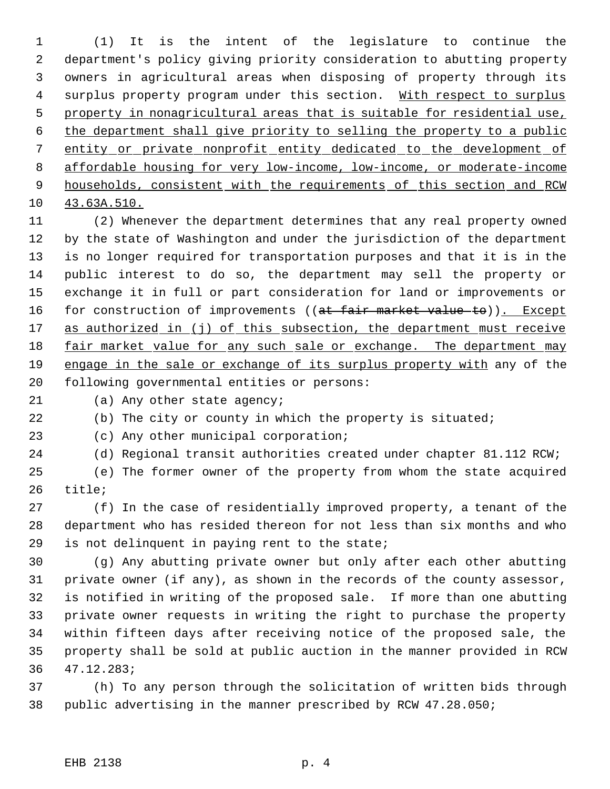(1) It is the intent of the legislature to continue the department's policy giving priority consideration to abutting property owners in agricultural areas when disposing of property through its 4 surplus property program under this section. With respect to surplus property in nonagricultural areas that is suitable for residential use, the department shall give priority to selling the property to a public entity or private nonprofit entity dedicated to the development of affordable housing for very low-income, low-income, or moderate-income 9 households, consistent with the requirements of this section and RCW 43.63A.510.

 (2) Whenever the department determines that any real property owned by the state of Washington and under the jurisdiction of the department is no longer required for transportation purposes and that it is in the public interest to do so, the department may sell the property or exchange it in full or part consideration for land or improvements or 16 for construction of improvements ((at fair market value to)). Except 17 as authorized in (j) of this subsection, the department must receive 18 fair market value for any such sale or exchange. The department may 19 engage in the sale or exchange of its surplus property with any of the following governmental entities or persons:

(a) Any other state agency;

(b) The city or county in which the property is situated;

(c) Any other municipal corporation;

(d) Regional transit authorities created under chapter 81.112 RCW;

 (e) The former owner of the property from whom the state acquired title;

 (f) In the case of residentially improved property, a tenant of the department who has resided thereon for not less than six months and who is not delinquent in paying rent to the state;

 (g) Any abutting private owner but only after each other abutting private owner (if any), as shown in the records of the county assessor, is notified in writing of the proposed sale. If more than one abutting private owner requests in writing the right to purchase the property within fifteen days after receiving notice of the proposed sale, the property shall be sold at public auction in the manner provided in RCW 47.12.283;

 (h) To any person through the solicitation of written bids through public advertising in the manner prescribed by RCW 47.28.050;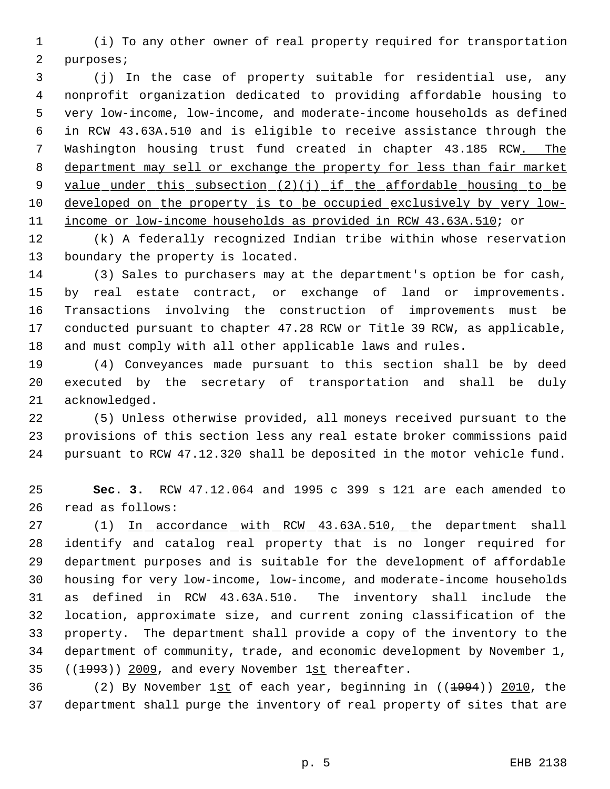(i) To any other owner of real property required for transportation purposes;

 (j) In the case of property suitable for residential use, any nonprofit organization dedicated to providing affordable housing to very low-income, low-income, and moderate-income households as defined in RCW 43.63A.510 and is eligible to receive assistance through the 7 Washington housing trust fund created in chapter 43.185 RCW. The 8 department may sell or exchange the property for less than fair market 9 value under this subsection (2)(j) if the affordable housing to be developed on the property is to be occupied exclusively by very low-income or low-income households as provided in RCW 43.63A.510; or

 (k) A federally recognized Indian tribe within whose reservation boundary the property is located.

 (3) Sales to purchasers may at the department's option be for cash, by real estate contract, or exchange of land or improvements. Transactions involving the construction of improvements must be conducted pursuant to chapter 47.28 RCW or Title 39 RCW, as applicable, and must comply with all other applicable laws and rules.

 (4) Conveyances made pursuant to this section shall be by deed executed by the secretary of transportation and shall be duly acknowledged.

 (5) Unless otherwise provided, all moneys received pursuant to the provisions of this section less any real estate broker commissions paid pursuant to RCW 47.12.320 shall be deposited in the motor vehicle fund.

 **Sec. 3.** RCW 47.12.064 and 1995 c 399 s 121 are each amended to read as follows:

27 (1) In accordance with RCW 43.63A.510, the department shall identify and catalog real property that is no longer required for department purposes and is suitable for the development of affordable housing for very low-income, low-income, and moderate-income households as defined in RCW 43.63A.510. The inventory shall include the location, approximate size, and current zoning classification of the property. The department shall provide a copy of the inventory to the department of community, trade, and economic development by November 1, ((1993)) 2009, and every November 1st thereafter.

 (2) By November 1st of each year, beginning in ((1994)) 2010, the department shall purge the inventory of real property of sites that are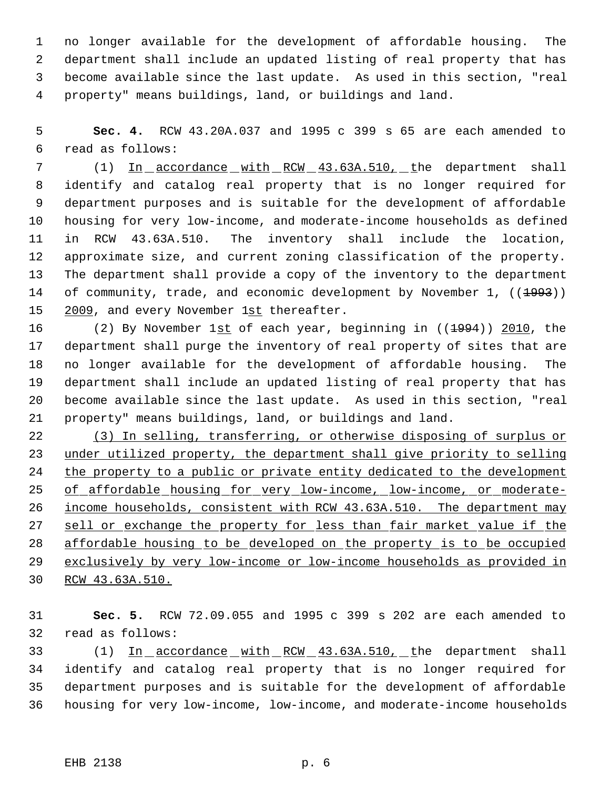no longer available for the development of affordable housing. The department shall include an updated listing of real property that has become available since the last update. As used in this section, "real property" means buildings, land, or buildings and land.

 **Sec. 4.** RCW 43.20A.037 and 1995 c 399 s 65 are each amended to read as follows:

 (1) In accordance with RCW 43.63A.510, the department shall identify and catalog real property that is no longer required for department purposes and is suitable for the development of affordable housing for very low-income, and moderate-income households as defined in RCW 43.63A.510. The inventory shall include the location, approximate size, and current zoning classification of the property. The department shall provide a copy of the inventory to the department 14 of community, trade, and economic development by November 1, ((1993)) 15 2009, and every November 1st thereafter.

16 (2) By November 1st of each year, beginning in ((1994)) 2010, the department shall purge the inventory of real property of sites that are no longer available for the development of affordable housing. The department shall include an updated listing of real property that has become available since the last update. As used in this section, "real property" means buildings, land, or buildings and land.

 (3) In selling, transferring, or otherwise disposing of surplus or under utilized property, the department shall give priority to selling the property to a public or private entity dedicated to the development 25 of affordable housing for very low-income, low-income, or moderate- income households, consistent with RCW 43.63A.510. The department may 27 sell or exchange the property for less than fair market value if the affordable housing to be developed on the property is to be occupied exclusively by very low-income or low-income households as provided in RCW 43.63A.510.

 **Sec. 5.** RCW 72.09.055 and 1995 c 399 s 202 are each amended to read as follows:

33 (1) In accordance with RCW 43.63A.510, the department shall identify and catalog real property that is no longer required for department purposes and is suitable for the development of affordable housing for very low-income, low-income, and moderate-income households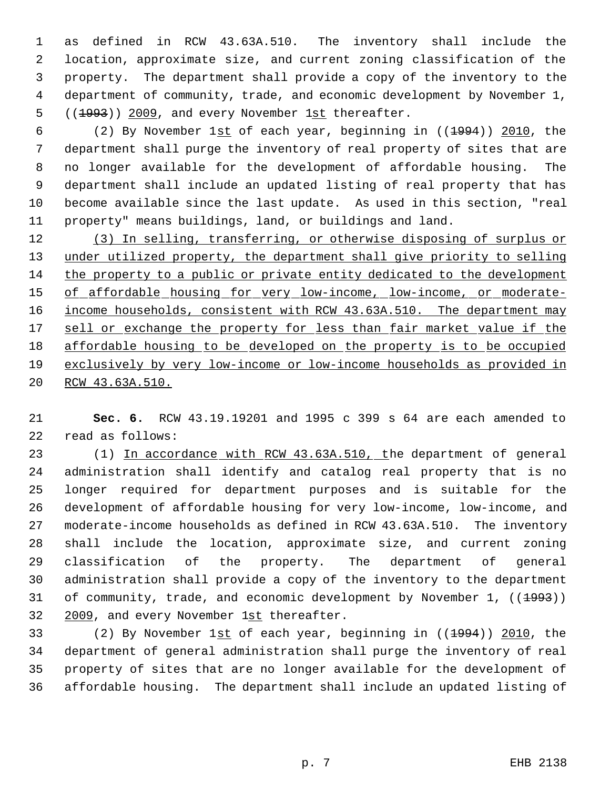as defined in RCW 43.63A.510. The inventory shall include the location, approximate size, and current zoning classification of the property. The department shall provide a copy of the inventory to the department of community, trade, and economic development by November 1, 5 ((1993)) 2009, and every November 1st thereafter.

6 (2) By November 1st of each year, beginning in  $(1994)$  2010, the department shall purge the inventory of real property of sites that are no longer available for the development of affordable housing. The department shall include an updated listing of real property that has become available since the last update. As used in this section, "real property" means buildings, land, or buildings and land.

 (3) In selling, transferring, or otherwise disposing of surplus or under utilized property, the department shall give priority to selling the property to a public or private entity dedicated to the development 15 of affordable housing for very low-income, low-income, or moderate-16 income households, consistent with RCW 43.63A.510. The department may 17 sell or exchange the property for less than fair market value if the affordable housing to be developed on the property is to be occupied exclusively by very low-income or low-income households as provided in RCW 43.63A.510.

 **Sec. 6.** RCW 43.19.19201 and 1995 c 399 s 64 are each amended to read as follows:

 (1) In accordance with RCW 43.63A.510, the department of general administration shall identify and catalog real property that is no longer required for department purposes and is suitable for the development of affordable housing for very low-income, low-income, and moderate-income households as defined in RCW 43.63A.510. The inventory shall include the location, approximate size, and current zoning classification of the property. The department of general administration shall provide a copy of the inventory to the department 31 of community, trade, and economic development by November 1, ((<del>1993</del>)) 32 2009, and every November 1st thereafter.

33 (2) By November 1st of each year, beginning in ((<del>1994</del>)) 2010, the department of general administration shall purge the inventory of real property of sites that are no longer available for the development of affordable housing. The department shall include an updated listing of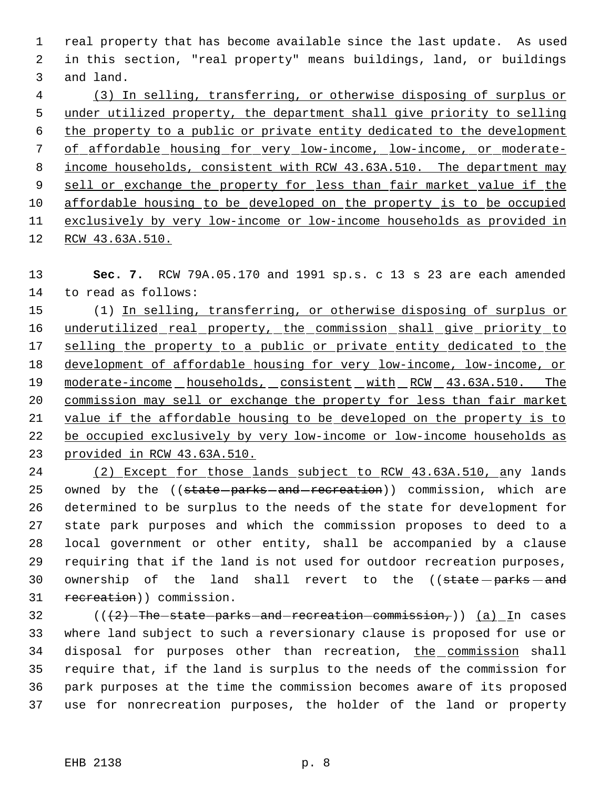real property that has become available since the last update. As used in this section, "real property" means buildings, land, or buildings and land.

 (3) In selling, transferring, or otherwise disposing of surplus or under utilized property, the department shall give priority to selling the property to a public or private entity dedicated to the development of affordable housing for very low-income, low-income, or moderate- 8 income households, consistent with RCW 43.63A.510. The department may 9 sell or exchange the property for less than fair market value if the affordable housing to be developed on the property is to be occupied exclusively by very low-income or low-income households as provided in RCW 43.63A.510.

 **Sec. 7.** RCW 79A.05.170 and 1991 sp.s. c 13 s 23 are each amended to read as follows:

 (1) In selling, transferring, or otherwise disposing of surplus or 16 underutilized real property, the commission shall give priority to 17 selling the property to a public or private entity dedicated to the 18 development of affordable housing for very low-income, low-income, or 19 moderate-income households, consistent with RCW 43.63A.510. The commission may sell or exchange the property for less than fair market value if the affordable housing to be developed on the property is to 22 be occupied exclusively by very low-income or low-income households as provided in RCW 43.63A.510.

 (2) Except for those lands subject to RCW 43.63A.510, any lands 25 owned by the ((state-parks-and-recreation)) commission, which are determined to be surplus to the needs of the state for development for state park purposes and which the commission proposes to deed to a local government or other entity, shall be accompanied by a clause requiring that if the land is not used for outdoor recreation purposes, 30 ownership of the land shall revert to the ((state parks and 31 recreation)) commission.

 $((2)$ -The-state-parks-and-recreation-commission,)) (a) In cases where land subject to such a reversionary clause is proposed for use or 34 disposal for purposes other than recreation, the commission shall require that, if the land is surplus to the needs of the commission for park purposes at the time the commission becomes aware of its proposed use for nonrecreation purposes, the holder of the land or property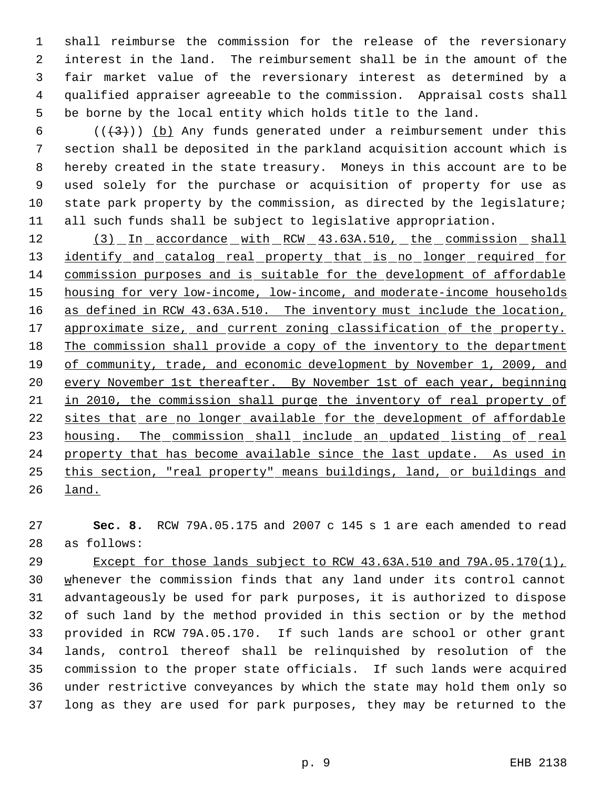shall reimburse the commission for the release of the reversionary interest in the land. The reimbursement shall be in the amount of the fair market value of the reversionary interest as determined by a qualified appraiser agreeable to the commission. Appraisal costs shall be borne by the local entity which holds title to the land.

6 ( $(\frac{1}{3})$ ) (b) Any funds generated under a reimbursement under this section shall be deposited in the parkland acquisition account which is hereby created in the state treasury. Moneys in this account are to be used solely for the purchase or acquisition of property for use as state park property by the commission, as directed by the legislature; all such funds shall be subject to legislative appropriation.

12 (3) In accordance with RCW 43.63A.510, the commission shall 13 identify and catalog real property that is no longer required for commission purposes and is suitable for the development of affordable 15 housing for very low-income, low-income, and moderate-income households as defined in RCW 43.63A.510. The inventory must include the location, 17 approximate size, and current zoning classification of the property. 18 The commission shall provide a copy of the inventory to the department of community, trade, and economic development by November 1, 2009, and 20 every November 1st thereafter. By November 1st of each year, beginning in 2010, the commission shall purge the inventory of real property of 22 sites that are no longer available for the development of affordable 23 housing. The commission shall include an updated listing of real 24 property that has become available since the last update. As used in this section, "real property" means buildings, land, or buildings and land.

 **Sec. 8.** RCW 79A.05.175 and 2007 c 145 s 1 are each amended to read as follows:

 Except for those lands subject to RCW 43.63A.510 and 79A.05.170(1), 30 whenever the commission finds that any land under its control cannot advantageously be used for park purposes, it is authorized to dispose of such land by the method provided in this section or by the method provided in RCW 79A.05.170. If such lands are school or other grant lands, control thereof shall be relinquished by resolution of the commission to the proper state officials. If such lands were acquired under restrictive conveyances by which the state may hold them only so long as they are used for park purposes, they may be returned to the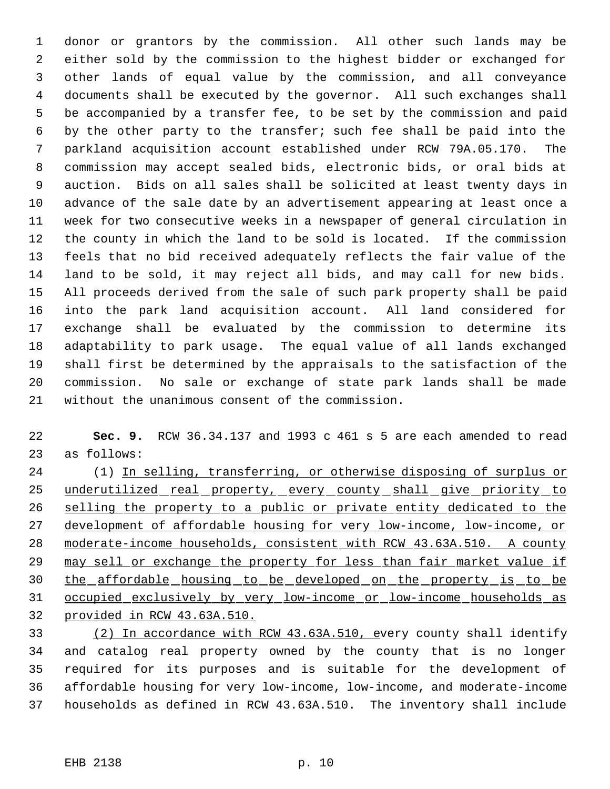donor or grantors by the commission. All other such lands may be either sold by the commission to the highest bidder or exchanged for other lands of equal value by the commission, and all conveyance documents shall be executed by the governor. All such exchanges shall be accompanied by a transfer fee, to be set by the commission and paid by the other party to the transfer; such fee shall be paid into the parkland acquisition account established under RCW 79A.05.170. The commission may accept sealed bids, electronic bids, or oral bids at auction. Bids on all sales shall be solicited at least twenty days in advance of the sale date by an advertisement appearing at least once a week for two consecutive weeks in a newspaper of general circulation in the county in which the land to be sold is located. If the commission feels that no bid received adequately reflects the fair value of the land to be sold, it may reject all bids, and may call for new bids. All proceeds derived from the sale of such park property shall be paid into the park land acquisition account. All land considered for exchange shall be evaluated by the commission to determine its adaptability to park usage. The equal value of all lands exchanged shall first be determined by the appraisals to the satisfaction of the commission. No sale or exchange of state park lands shall be made without the unanimous consent of the commission.

 **Sec. 9.** RCW 36.34.137 and 1993 c 461 s 5 are each amended to read as follows:

 (1) In selling, transferring, or otherwise disposing of surplus or 25 underutilized real property, every county shall give priority to selling the property to a public or private entity dedicated to the development of affordable housing for very low-income, low-income, or moderate-income households, consistent with RCW 43.63A.510. A county 29 may sell or exchange the property for less than fair market value if the affordable housing to be developed on the property is to be occupied exclusively by very low-income or low-income households as provided in RCW 43.63A.510.

 (2) In accordance with RCW 43.63A.510, every county shall identify and catalog real property owned by the county that is no longer required for its purposes and is suitable for the development of affordable housing for very low-income, low-income, and moderate-income households as defined in RCW 43.63A.510. The inventory shall include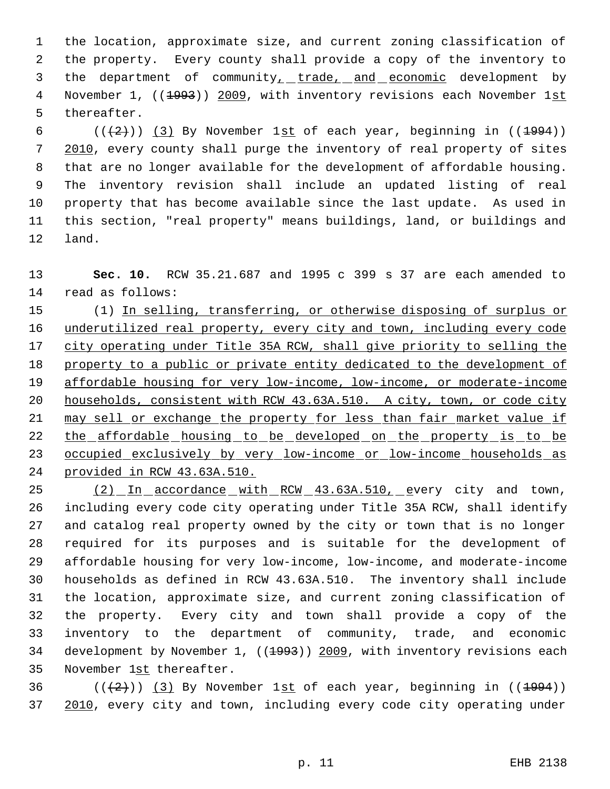the location, approximate size, and current zoning classification of the property. Every county shall provide a copy of the inventory to 3 the department of community<sub>1</sub> trade, and economic development by 4 November 1, ((1993)) 2009, with inventory revisions each November 1st thereafter.

6 ( $(\frac{2}{3})$  (3) By November 1st of each year, beginning in ( $\frac{1994}{1994}$ ) 2010, every county shall purge the inventory of real property of sites that are no longer available for the development of affordable housing. The inventory revision shall include an updated listing of real property that has become available since the last update. As used in this section, "real property" means buildings, land, or buildings and land.

 **Sec. 10.** RCW 35.21.687 and 1995 c 399 s 37 are each amended to read as follows:

 (1) In selling, transferring, or otherwise disposing of surplus or 16 underutilized real property, every city and town, including every code 17 city operating under Title 35A RCW, shall give priority to selling the 18 property to a public or private entity dedicated to the development of affordable housing for very low-income, low-income, or moderate-income households, consistent with RCW 43.63A.510. A city, town, or code city 21 may sell or exchange the property for less than fair market value if 22 the affordable housing to be developed on the property is to be occupied exclusively by very low-income or low-income households as provided in RCW 43.63A.510.

25 (2) In accordance with RCW 43.63A.510, every city and town, including every code city operating under Title 35A RCW, shall identify and catalog real property owned by the city or town that is no longer required for its purposes and is suitable for the development of affordable housing for very low-income, low-income, and moderate-income households as defined in RCW 43.63A.510. The inventory shall include the location, approximate size, and current zoning classification of the property. Every city and town shall provide a copy of the inventory to the department of community, trade, and economic 34 development by November 1, ((1993)) 2009, with inventory revisions each November 1st thereafter.

36 ( $(\frac{2}{3})$  (3) By November 1st of each year, beginning in ((1994)) 2010, every city and town, including every code city operating under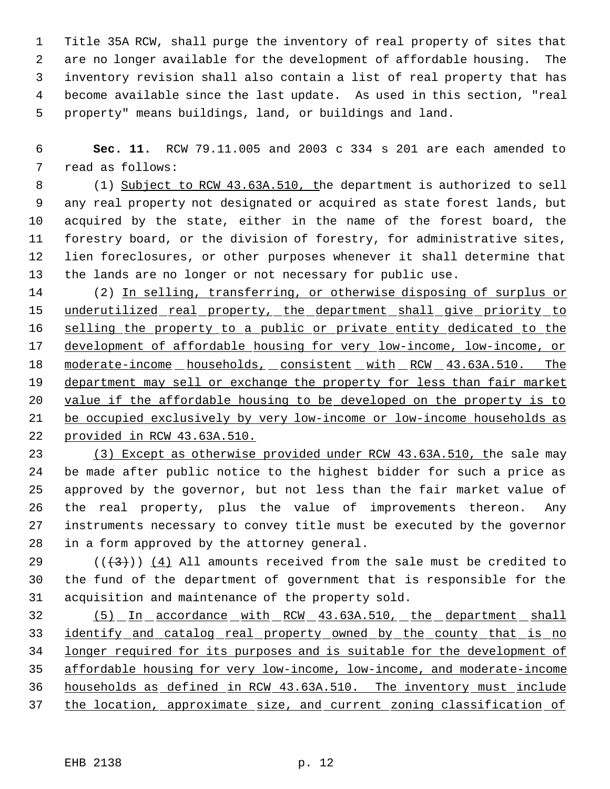Title 35A RCW, shall purge the inventory of real property of sites that are no longer available for the development of affordable housing. The inventory revision shall also contain a list of real property that has become available since the last update. As used in this section, "real property" means buildings, land, or buildings and land.

 **Sec. 11.** RCW 79.11.005 and 2003 c 334 s 201 are each amended to read as follows:

 (1) Subject to RCW 43.63A.510, the department is authorized to sell any real property not designated or acquired as state forest lands, but acquired by the state, either in the name of the forest board, the forestry board, or the division of forestry, for administrative sites, lien foreclosures, or other purposes whenever it shall determine that the lands are no longer or not necessary for public use.

 (2) In selling, transferring, or otherwise disposing of surplus or 15 underutilized real property, the department shall give priority to 16 selling the property to a public or private entity dedicated to the development of affordable housing for very low-income, low-income, or 18 moderate-income households, consistent with RCW 43.63A.510. The 19 department may sell or exchange the property for less than fair market value if the affordable housing to be developed on the property is to be occupied exclusively by very low-income or low-income households as provided in RCW 43.63A.510.

 (3) Except as otherwise provided under RCW 43.63A.510, the sale may be made after public notice to the highest bidder for such a price as approved by the governor, but not less than the fair market value of the real property, plus the value of improvements thereon. Any instruments necessary to convey title must be executed by the governor in a form approved by the attorney general.

29 ( $(\overline{\{3\}})$  (4) All amounts received from the sale must be credited to the fund of the department of government that is responsible for the acquisition and maintenance of the property sold.

 (5) In accordance with RCW 43.63A.510, the department shall 33 identify and catalog real property owned by the county that is no longer required for its purposes and is suitable for the development of affordable housing for very low-income, low-income, and moderate-income households as defined in RCW 43.63A.510. The inventory must include the location, approximate size, and current zoning classification of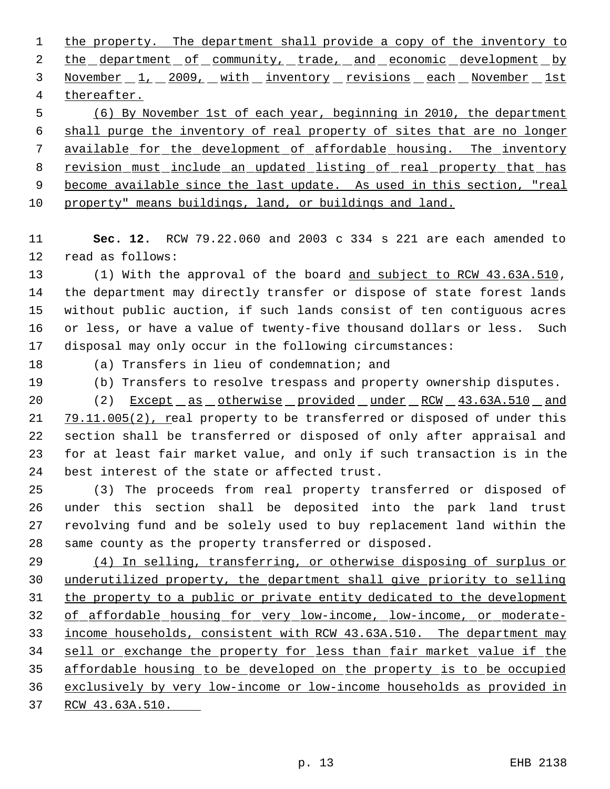1 the property. The department shall provide a copy of the inventory to 2 the department of community, trade, and economic development by 3 November 1, 2009, with inventory revisions each November 1st thereafter.

 (6) By November 1st of each year, beginning in 2010, the department shall purge the inventory of real property of sites that are no longer available for the development of affordable housing. The inventory 8 revision must include an updated listing of real property that has 9 become available since the last update. As used in this section, "real property" means buildings, land, or buildings and land.

 **Sec. 12.** RCW 79.22.060 and 2003 c 334 s 221 are each amended to read as follows:

 (1) With the approval of the board and subject to RCW 43.63A.510, the department may directly transfer or dispose of state forest lands without public auction, if such lands consist of ten contiguous acres or less, or have a value of twenty-five thousand dollars or less. Such disposal may only occur in the following circumstances:

(a) Transfers in lieu of condemnation; and

(b) Transfers to resolve trespass and property ownership disputes.

 (2) Except as otherwise provided under RCW 43.63A.510 and 21 79.11.005(2), real property to be transferred or disposed of under this section shall be transferred or disposed of only after appraisal and for at least fair market value, and only if such transaction is in the best interest of the state or affected trust.

 (3) The proceeds from real property transferred or disposed of under this section shall be deposited into the park land trust revolving fund and be solely used to buy replacement land within the same county as the property transferred or disposed.

 (4) In selling, transferring, or otherwise disposing of surplus or underutilized property, the department shall give priority to selling the property to a public or private entity dedicated to the development of affordable housing for very low-income, low-income, or moderate- income households, consistent with RCW 43.63A.510. The department may 34 sell or exchange the property for less than fair market value if the affordable housing to be developed on the property is to be occupied exclusively by very low-income or low-income households as provided in RCW 43.63A.510.